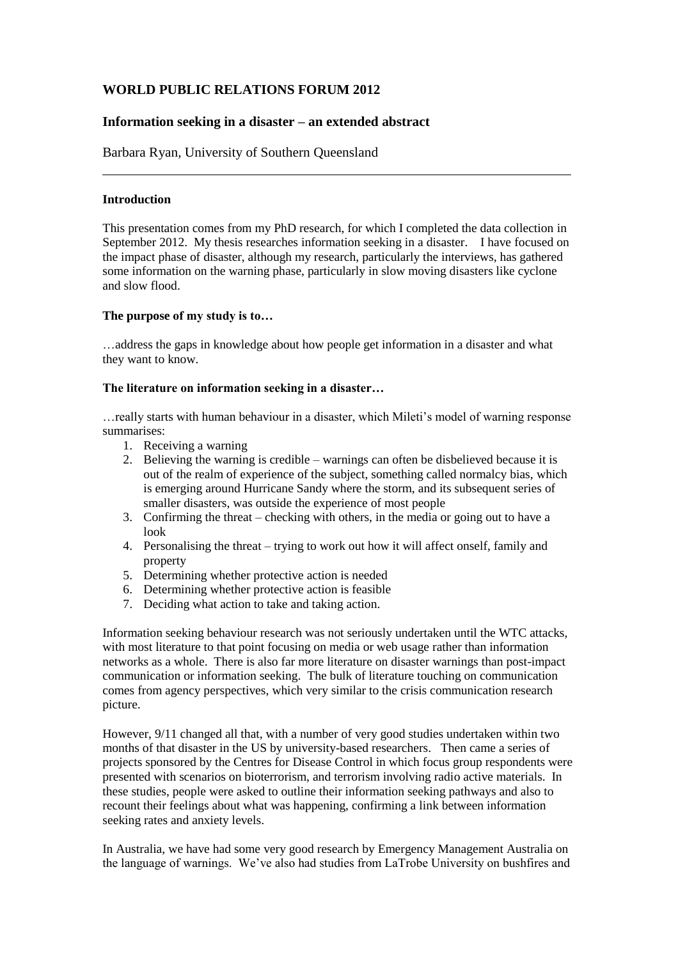# **WORLD PUBLIC RELATIONS FORUM 2012**

## **Information seeking in a disaster – an extended abstract**

## Barbara Ryan, University of Southern Queensland

### **Introduction**

This presentation comes from my PhD research, for which I completed the data collection in September 2012. My thesis researches information seeking in a disaster. I have focused on the impact phase of disaster, although my research, particularly the interviews, has gathered some information on the warning phase, particularly in slow moving disasters like cyclone and slow flood.

#### **The purpose of my study is to…**

…address the gaps in knowledge about how people get information in a disaster and what they want to know.

#### **The literature on information seeking in a disaster…**

…really starts with human behaviour in a disaster, which Mileti's model of warning response summarises:

- 1. Receiving a warning
- 2. Believing the warning is credible warnings can often be disbelieved because it is out of the realm of experience of the subject, something called normalcy bias, which is emerging around Hurricane Sandy where the storm, and its subsequent series of smaller disasters, was outside the experience of most people
- 3. Confirming the threat checking with others, in the media or going out to have a look
- 4. Personalising the threat trying to work out how it will affect onself, family and property
- 5. Determining whether protective action is needed
- 6. Determining whether protective action is feasible
- 7. Deciding what action to take and taking action.

Information seeking behaviour research was not seriously undertaken until the WTC attacks, with most literature to that point focusing on media or web usage rather than information networks as a whole. There is also far more literature on disaster warnings than post-impact communication or information seeking. The bulk of literature touching on communication comes from agency perspectives, which very similar to the crisis communication research picture.

However, 9/11 changed all that, with a number of very good studies undertaken within two months of that disaster in the US by university-based researchers. Then came a series of projects sponsored by the Centres for Disease Control in which focus group respondents were presented with scenarios on bioterrorism, and terrorism involving radio active materials. In these studies, people were asked to outline their information seeking pathways and also to recount their feelings about what was happening, confirming a link between information seeking rates and anxiety levels.

In Australia, we have had some very good research by Emergency Management Australia on the language of warnings. We've also had studies from LaTrobe University on bushfires and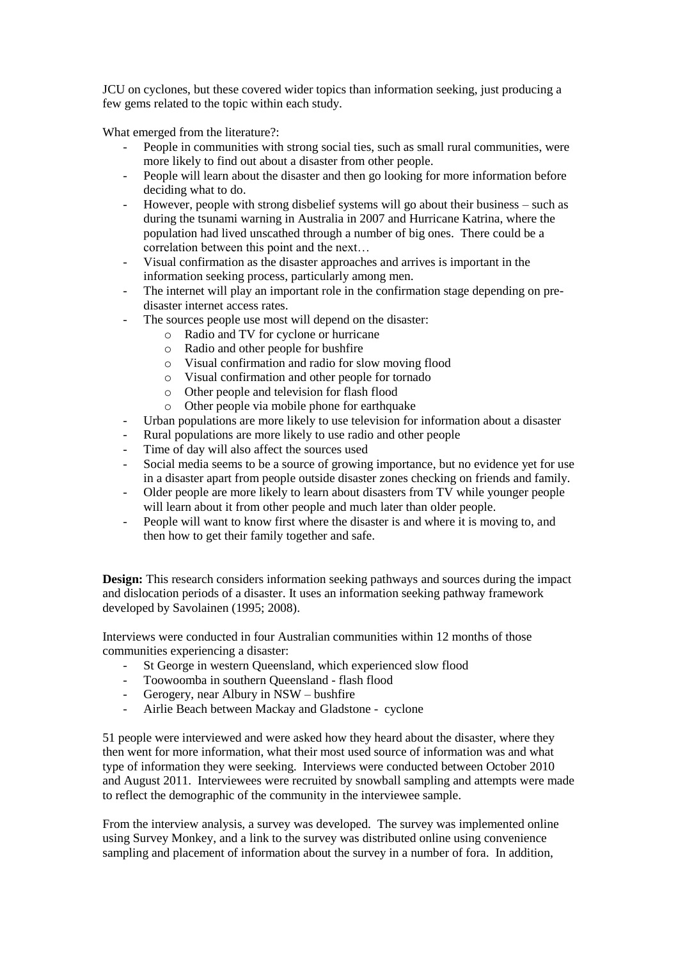JCU on cyclones, but these covered wider topics than information seeking, just producing a few gems related to the topic within each study.

What emerged from the literature?:

- People in communities with strong social ties, such as small rural communities, were more likely to find out about a disaster from other people.
- People will learn about the disaster and then go looking for more information before deciding what to do.
- However, people with strong disbelief systems will go about their business such as during the tsunami warning in Australia in 2007 and Hurricane Katrina, where the population had lived unscathed through a number of big ones. There could be a correlation between this point and the next…
- Visual confirmation as the disaster approaches and arrives is important in the information seeking process, particularly among men.
- The internet will play an important role in the confirmation stage depending on predisaster internet access rates.
- The sources people use most will depend on the disaster:
	- o Radio and TV for cyclone or hurricane
	- o Radio and other people for bushfire
	- o Visual confirmation and radio for slow moving flood
	- o Visual confirmation and other people for tornado
	- o Other people and television for flash flood
	- o Other people via mobile phone for earthquake
- Urban populations are more likely to use television for information about a disaster
- Rural populations are more likely to use radio and other people
- Time of day will also affect the sources used
- Social media seems to be a source of growing importance, but no evidence yet for use in a disaster apart from people outside disaster zones checking on friends and family.
- Older people are more likely to learn about disasters from TV while younger people will learn about it from other people and much later than older people.
- People will want to know first where the disaster is and where it is moving to, and then how to get their family together and safe.

**Design:** This research considers information seeking pathways and sources during the impact and dislocation periods of a disaster. It uses an information seeking pathway framework developed by Savolainen (1995; 2008).

Interviews were conducted in four Australian communities within 12 months of those communities experiencing a disaster:

- St George in western Queensland, which experienced slow flood
- Toowoomba in southern Queensland flash flood
- Gerogery, near Albury in NSW bushfire
- Airlie Beach between Mackay and Gladstone cyclone

51 people were interviewed and were asked how they heard about the disaster, where they then went for more information, what their most used source of information was and what type of information they were seeking. Interviews were conducted between October 2010 and August 2011. Interviewees were recruited by snowball sampling and attempts were made to reflect the demographic of the community in the interviewee sample.

From the interview analysis, a survey was developed. The survey was implemented online using Survey Monkey, and a link to the survey was distributed online using convenience sampling and placement of information about the survey in a number of fora. In addition,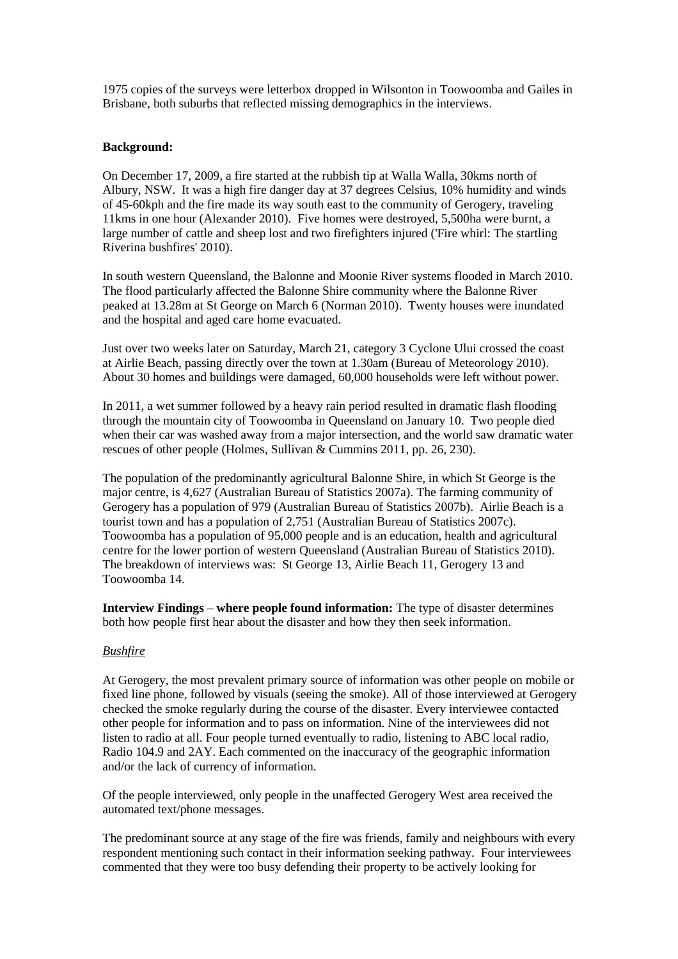1975 copies of the surveys were letterbox dropped in Wilsonton in Toowoomba and Gailes in Brisbane, both suburbs that reflected missing demographics in the interviews.

### **Background:**

On December 17, 2009, a fire started at the rubbish tip at Walla Walla, 30kms north of Albury, NSW. It was a high fire danger day at 37 degrees Celsius, 10% humidity and winds of 45-60kph and the fire made its way south east to the community of Gerogery, traveling 11kms in one hour (Alexander 2010). Five homes were destroyed, 5,500ha were burnt, a large number of cattle and sheep lost and two firefighters injured ('Fire whirl: The startling Riverina bushfires' 2010).

In south western Queensland, the Balonne and Moonie River systems flooded in March 2010. The flood particularly affected the Balonne Shire community where the Balonne River peaked at 13.28m at St George on March 6 (Norman 2010). Twenty houses were inundated and the hospital and aged care home evacuated.

Just over two weeks later on Saturday, March 21, category 3 Cyclone Ului crossed the coast at Airlie Beach, passing directly over the town at 1.30am (Bureau of Meteorology 2010). About 30 homes and buildings were damaged, 60,000 households were left without power.

In 2011, a wet summer followed by a heavy rain period resulted in dramatic flash flooding through the mountain city of Toowoomba in Queensland on January 10. Two people died when their car was washed away from a major intersection, and the world saw dramatic water rescues of other people (Holmes, Sullivan & Cummins 2011, pp. 26, 230).

The population of the predominantly agricultural Balonne Shire, in which St George is the major centre, is 4,627 (Australian Bureau of Statistics 2007a). The farming community of Gerogery has a population of 979 (Australian Bureau of Statistics 2007b). Airlie Beach is a tourist town and has a population of 2,751 (Australian Bureau of Statistics 2007c). Toowoomba has a population of 95,000 people and is an education, health and agricultural centre for the lower portion of western Queensland (Australian Bureau of Statistics 2010). The breakdown of interviews was: St George 13, Airlie Beach 11, Gerogery 13 and Toowoomba 14.

**Interview Findings – where people found information:** The type of disaster determines both how people first hear about the disaster and how they then seek information.

#### *Bushfire*

At Gerogery, the most prevalent primary source of information was other people on mobile or fixed line phone, followed by visuals (seeing the smoke). All of those interviewed at Gerogery checked the smoke regularly during the course of the disaster. Every interviewee contacted other people for information and to pass on information. Nine of the interviewees did not listen to radio at all. Four people turned eventually to radio, listening to ABC local radio, Radio 104.9 and 2AY. Each commented on the inaccuracy of the geographic information and/or the lack of currency of information.

Of the people interviewed, only people in the unaffected Gerogery West area received the automated text/phone messages.

The predominant source at any stage of the fire was friends, family and neighbours with every respondent mentioning such contact in their information seeking pathway. Four interviewees commented that they were too busy defending their property to be actively looking for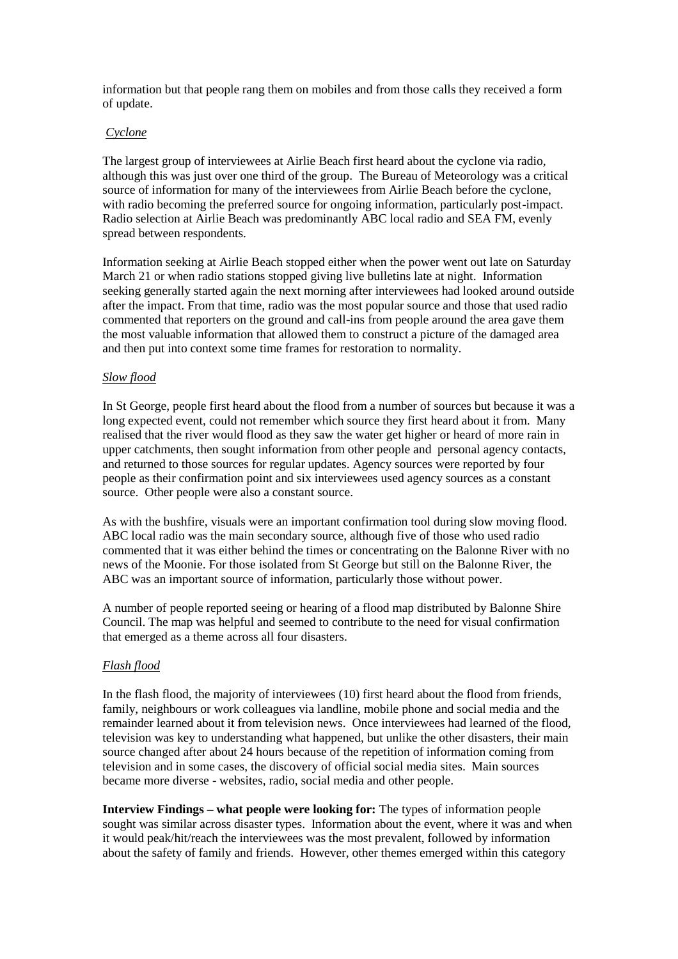information but that people rang them on mobiles and from those calls they received a form of update.

### *Cyclone*

The largest group of interviewees at Airlie Beach first heard about the cyclone via radio, although this was just over one third of the group. The Bureau of Meteorology was a critical source of information for many of the interviewees from Airlie Beach before the cyclone, with radio becoming the preferred source for ongoing information, particularly post-impact. Radio selection at Airlie Beach was predominantly ABC local radio and SEA FM, evenly spread between respondents.

Information seeking at Airlie Beach stopped either when the power went out late on Saturday March 21 or when radio stations stopped giving live bulletins late at night. Information seeking generally started again the next morning after interviewees had looked around outside after the impact. From that time, radio was the most popular source and those that used radio commented that reporters on the ground and call-ins from people around the area gave them the most valuable information that allowed them to construct a picture of the damaged area and then put into context some time frames for restoration to normality.

## *Slow flood*

In St George, people first heard about the flood from a number of sources but because it was a long expected event, could not remember which source they first heard about it from. Many realised that the river would flood as they saw the water get higher or heard of more rain in upper catchments, then sought information from other people and personal agency contacts, and returned to those sources for regular updates. Agency sources were reported by four people as their confirmation point and six interviewees used agency sources as a constant source. Other people were also a constant source.

As with the bushfire, visuals were an important confirmation tool during slow moving flood. ABC local radio was the main secondary source, although five of those who used radio commented that it was either behind the times or concentrating on the Balonne River with no news of the Moonie. For those isolated from St George but still on the Balonne River, the ABC was an important source of information, particularly those without power.

A number of people reported seeing or hearing of a flood map distributed by Balonne Shire Council. The map was helpful and seemed to contribute to the need for visual confirmation that emerged as a theme across all four disasters.

## *Flash flood*

In the flash flood, the majority of interviewees (10) first heard about the flood from friends, family, neighbours or work colleagues via landline, mobile phone and social media and the remainder learned about it from television news. Once interviewees had learned of the flood, television was key to understanding what happened, but unlike the other disasters, their main source changed after about 24 hours because of the repetition of information coming from television and in some cases, the discovery of official social media sites. Main sources became more diverse - websites, radio, social media and other people.

**Interview Findings – what people were looking for:** The types of information people sought was similar across disaster types. Information about the event, where it was and when it would peak/hit/reach the interviewees was the most prevalent, followed by information about the safety of family and friends. However, other themes emerged within this category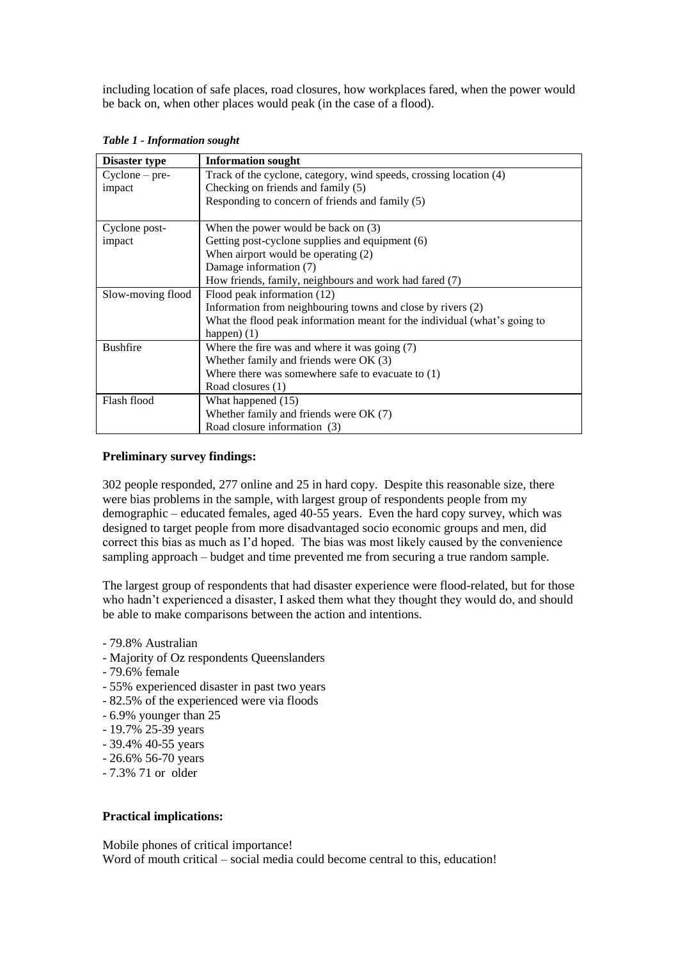including location of safe places, road closures, how workplaces fared, when the power would be back on, when other places would peak (in the case of a flood).

| <b>Disaster type</b> | <b>Information sought</b>                                                 |
|----------------------|---------------------------------------------------------------------------|
| $Cyclone-pre$ -      | Track of the cyclone, category, wind speeds, crossing location (4)        |
| impact               | Checking on friends and family (5)                                        |
|                      | Responding to concern of friends and family (5)                           |
|                      |                                                                           |
| Cyclone post-        | When the power would be back on $(3)$                                     |
| impact               | Getting post-cyclone supplies and equipment (6)                           |
|                      | When airport would be operating $(2)$                                     |
|                      | Damage information (7)                                                    |
|                      | How friends, family, neighbours and work had fared (7)                    |
| Slow-moving flood    | Flood peak information (12)                                               |
|                      | Information from neighbouring towns and close by rivers (2)               |
|                      | What the flood peak information meant for the individual (what's going to |
|                      | happen $(1)$                                                              |
| <b>Bushfire</b>      | Where the fire was and where it was going $(7)$                           |
|                      | Whether family and friends were $OK(3)$                                   |
|                      | Where there was somewhere safe to evacuate to $(1)$                       |
|                      | Road closures (1)                                                         |
| Flash flood          | What happened (15)                                                        |
|                      | Whether family and friends were OK (7)                                    |
|                      | Road closure information (3)                                              |

*Table 1 - Information sought*

## **Preliminary survey findings:**

302 people responded, 277 online and 25 in hard copy. Despite this reasonable size, there were bias problems in the sample, with largest group of respondents people from my demographic – educated females, aged 40-55 years. Even the hard copy survey, which was designed to target people from more disadvantaged socio economic groups and men, did correct this bias as much as I'd hoped. The bias was most likely caused by the convenience sampling approach – budget and time prevented me from securing a true random sample.

The largest group of respondents that had disaster experience were flood-related, but for those who hadn't experienced a disaster, I asked them what they thought they would do, and should be able to make comparisons between the action and intentions.

- 79.8% Australian
- Majority of Oz respondents Queenslanders
- 79.6% female
- 55% experienced disaster in past two years
- 82.5% of the experienced were via floods
- 6.9% younger than 25
- 19.7% 25-39 years
- 39.4% 40-55 years
- 26.6% 56-70 years
- 7.3% 71 or older

### **Practical implications:**

Mobile phones of critical importance! Word of mouth critical – social media could become central to this, education!